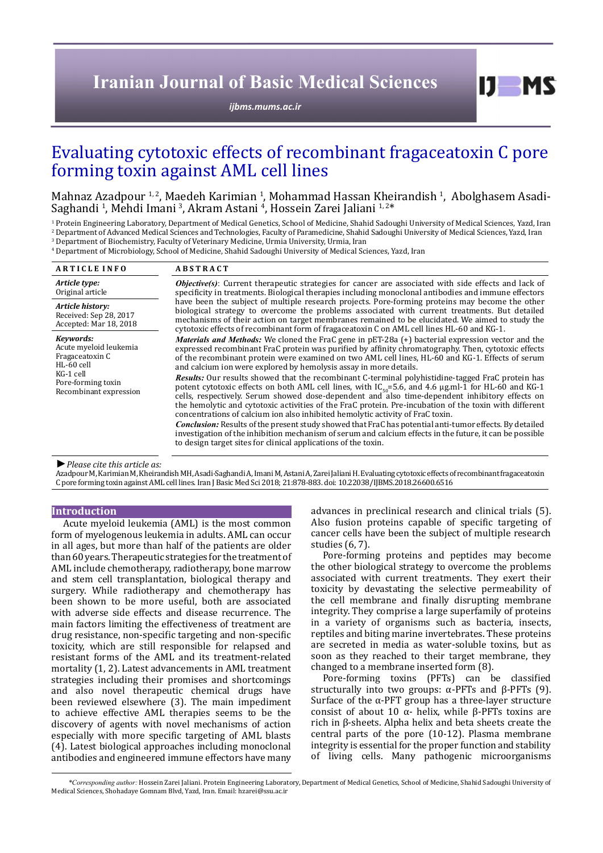# **Iranian Journal of Basic Medical Sciences**

*[ijbms.mums.ac.ir](http://ijbms.mums.ac.ir)*

# Evaluating cytotoxic effects of recombinant fragaceatoxin C pore forming toxin against AML cell lines

Mahnaz Azadpour <sup>1, 2</sup>, Maedeh Karimian <sup>1</sup>, Mohammad Hassan Kheirandish <sup>1</sup>, Abolghasem Asadi-Saghandi <sup>1</sup>, Mehdi Imani <sup>3</sup>, Akram Astani <sup>4</sup>, Hossein Zarei Jaliani <sup>1,2\*</sup>

<sup>1</sup> Protein Engineering Laboratory, Department of Medical Genetics, School of Medicine, Shahid Sadoughi University of Medical Sciences, Yazd, Iran 2 Department of Advanced Medical Sciences and Technologies, Faculty of Paramedicine, Shahid Sadoughi University of Medical Sciences, Yazd, Iran

3 Department of Biochemistry, Faculty of Veterinary Medicine, Urmia University, Urmia, Iran 4 Department of Microbiology, School of Medicine, Shahid Sadoughi University of Medical Sciences, Yazd, Iran

| <b>ARTICLE INFO</b>                                                                                                                 | <b>ABSTRACT</b>                                                                                                                                                                                                                                                                                                                                                                                                                                                                                                                                                                                                                  |
|-------------------------------------------------------------------------------------------------------------------------------------|----------------------------------------------------------------------------------------------------------------------------------------------------------------------------------------------------------------------------------------------------------------------------------------------------------------------------------------------------------------------------------------------------------------------------------------------------------------------------------------------------------------------------------------------------------------------------------------------------------------------------------|
| Article type:<br>Original article                                                                                                   | <b><i>Objective(s)</i></b> : Current therapeutic strategies for cancer are associated with side effects and lack of<br>specificity in treatments. Biological therapies including monoclonal antibodies and immune effectors<br>have been the subject of multiple research projects. Pore-forming proteins may become the other<br>biological strategy to overcome the problems associated with current treatments. But detailed<br>mechanisms of their action on target membranes remained to be elucidated. We aimed to study the<br>cytotoxic effects of recombinant form of fragaceatoxin C on AML cell lines HL-60 and KG-1. |
| Article history:<br>Received: Sep 28, 2017<br>Accepted: Mar 18, 2018                                                                |                                                                                                                                                                                                                                                                                                                                                                                                                                                                                                                                                                                                                                  |
| Kevwords:<br>Acute myeloid leukemia<br>Fragaceatoxin C<br>$HL-60$ cell<br>KG-1 cell<br>Pore-forming toxin<br>Recombinant expression | <i>Materials and Methods:</i> We cloned the FraC gene in pET-28a (+) bacterial expression vector and the<br>expressed recombinant FraC protein was purified by affinity chromatography. Then, cytotoxic effects<br>of the recombinant protein were examined on two AML cell lines, HL-60 and KG-1. Effects of serum<br>and calcium ion were explored by hemolysis assay in more details.<br><b>Results:</b> Our results showed that the recombinant C-terminal polyhistidine-tagged FraC protein has                                                                                                                             |
|                                                                                                                                     | potent cytotoxic effects on both AML cell lines, with $IC_{50} = 5.6$ , and 4.6 µg.ml-1 for HL-60 and KG-1<br>cells, respectively. Serum showed dose-dependent and also time-dependent inhibitory effects on<br>the hemolytic and cytotoxic activities of the FraC protein. Pre-incubation of the toxin with different<br>concentrations of calcium ion also inhibited hemolytic activity of FraC toxin.                                                                                                                                                                                                                         |
|                                                                                                                                     | <b>Conclusion:</b> Results of the present study showed that FraC has potential anti-tumor effects. By detailed<br>investigation of the inhibition mechanism of serum and calcium effects in the future, it can be possible<br>to design target sites for clinical applications of the toxin.                                                                                                                                                                                                                                                                                                                                     |

*►Please cite this article as:*

Azadpour M, Karimian M, Kheirandish MH, Asadi-Saghandi A, Imani M, Astani A, Zarei Jaliani H. Evaluating cytotoxic effects of recombinant fragaceatoxin C pore forming toxin against AML cell lines. Iran J Basic Med Sci 2018; 21:878-883. doi: 10.22038/IJBMS.2018.26600.6516

## **Introduction**

Acute myeloid leukemia (AML) is the most common form of myelogenous leukemia in adults. AML can occur in all ages, but more than half of the patients are older than 60 years. Therapeutic strategies for the treatment of AML include chemotherapy, radiotherapy, bone marrow and stem cell transplantation, biological therapy and surgery. While radiotherapy and chemotherapy has been shown to be more useful, both are associated with adverse side effects and disease recurrence. The main factors limiting the effectiveness of treatment are drug resistance, non-specific targeting and non-specific toxicity, which are still responsible for relapsed and resistant forms of the AML and its treatment-related mortality (1, 2). Latest advancements in AML treatment strategies including their promises and shortcomings and also novel therapeutic chemical drugs have been reviewed elsewhere (3). The main impediment to achieve effective AML therapies seems to be the discovery of agents with novel mechanisms of action especially with more specific targeting of AML blasts (4). Latest biological approaches including monoclonal antibodies and engineered immune effectors have many

advances in preclinical research and clinical trials (5). Also fusion proteins capable of specific targeting of cancer cells have been the subject of multiple research studies (6, 7).

 $I$   $I$   $M$   $S$ 

Pore-forming proteins and peptides may become the other biological strategy to overcome the problems associated with current treatments. They exert their toxicity by devastating the selective permeability of the cell membrane and finally disrupting membrane integrity. They comprise a large superfamily of proteins in a variety of organisms such as bacteria, insects, reptiles and biting marine invertebrates. These proteins are secreted in media as water-soluble toxins, but as soon as they reached to their target membrane, they changed to a membrane inserted form (8).

Pore-forming toxins (PFTs) can be classified structurally into two groups: α-PFTs and β-PFTs (9). Surface of the  $\alpha$ -PFT group has a three-layer structure consist of about 10 α- helix, while β-PFTs toxins are rich in β-sheets. Alpha helix and beta sheets create the central parts of the pore (10-12). Plasma membrane integrity is essential for the proper function and stability of living cells. Many pathogenic microorganisms

 *\*Corresponding author:* Hossein Zarei Jaliani. Protein Engineering Laboratory, Department of Medical Genetics, School of Medicine, Shahid Sadoughi University of Medical Sciences, Shohadaye Gomnam Blvd, Yazd, Iran. Email: hzarei@ssu.ac.ir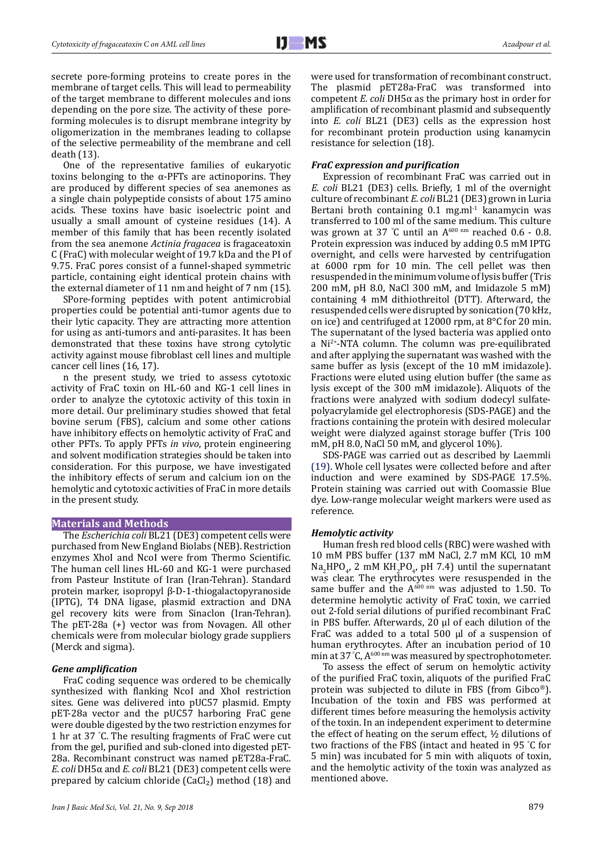secrete pore-forming proteins to create pores in the membrane of target cells. This will lead to permeability of the target membrane to different molecules and ions depending on the pore size. The activity of these poreforming molecules is to disrupt membrane integrity by oligomerization in the membranes leading to collapse of the selective permeability of the membrane and cell death (13).

One of the representative families of eukaryotic toxins belonging to the α-PFTs are actinoporins. They are produced by different species of sea anemones as a single chain polypeptide consists of about 175 amino acids. These toxins have basic isoelectric point and usually a small amount of cysteine residues (14). A member of this family that has been recently isolated from the sea anemone *Actinia fragacea* is fragaceatoxin C (FraC) with molecular weight of 19.7 kDa and the PI of 9.75. FraC pores consist of a funnel-shaped symmetric particle, containing eight identical protein chains with the external diameter of 11 nm and height of 7 nm (15).

SPore-forming peptides with potent antimicrobial properties could be potential anti-tumor agents due to their lytic capacity. They are attracting more attention for using as anti-tumors and anti-parasites. It has been demonstrated that these toxins have strong cytolytic activity against mouse fibroblast cell lines and multiple cancer cell lines (16, 17).

n the present study, we tried to assess cytotoxic activity of FraC toxin on HL-60 and KG-1 cell lines in order to analyze the cytotoxic activity of this toxin in more detail. Our preliminary studies showed that fetal bovine serum (FBS), calcium and some other cations have inhibitory effects on hemolytic activity of FraC and other PFTs. To apply PFTs *in vivo*, protein engineering and solvent modification strategies should be taken into consideration. For this purpose, we have investigated the inhibitory effects of serum and calcium ion on the hemolytic and cytotoxic activities of FraC in more details in the present study.

#### **Materials and Methods**

The *Escherichia coli* BL21 (DE3) competent cells were purchased from New England Biolabs (NEB). Restriction enzymes XhoI and NcoI were from Thermo Scientific. The human cell lines HL-60 and KG-1 were purchased from Pasteur Institute of Iran (Iran-Tehran). Standard protein marker, isopropyl β-D-1-thiogalactopyranoside (IPTG), T4 DNA ligase, plasmid extraction and DNA gel recovery kits were from Sinaclon (Iran-Tehran). The pET-28a (+) vector was from Novagen. All other chemicals were from molecular biology grade suppliers (Merck and sigma).

# *Gene amplification*

FraC coding sequence was ordered to be chemically synthesized with flanking NcoI and XhoI restriction sites. Gene was delivered into pUC57 plasmid. Empty pET-28a vector and the pUC57 harboring FraC gene were double digested by the two restriction enzymes for 1 hr at 37 ° C. The resulting fragments of FraC were cut from the gel, purified and sub-cloned into digested pET-28a. Recombinant construct was named pET28a-FraC. *E. coli* DH5α and *E. coli* BL21 (DE3) competent cells were prepared by calcium chloride  $(CaCl<sub>2</sub>)$  method (18) and

were used for transformation of recombinant construct. The plasmid pET28a-FraC was transformed into competent *E. coli* DH5α as the primary host in order for amplification of recombinant plasmid and subsequently into *E. coli* BL21 (DE3) cells as the expression host for recombinant protein production using kanamycin resistance for selection (18).

# *FraC expression and purification*

Expression of recombinant FraC was carried out in *E. coli* BL21 (DE3) cells. Briefly, 1 ml of the overnight culture of recombinant *E. coli* BL21 (DE3) grown in Luria Bertani broth containing  $0.1$  mg.ml $^{-1}$  kanamycin was transferred to 100 ml of the same medium. This culture was grown at 37 °C until an  $A^{600 \text{ nm}}$  reached 0.6 - 0.8. Protein expression was induced by adding 0.5 mM IPTG overnight, and cells were harvested by centrifugation at 6000 rpm for 10 min. The cell pellet was then resuspended in the minimum volume of lysis buffer (Tris 200 mM, pH 8.0, NaCl 300 mM, and Imidazole 5 mM) containing 4 mM dithiothreitol (DTT). Afterward, the resuspended cells were disrupted by sonication (70 kHz, on ice) and centrifuged at 12000 rpm, at 8°C for 20 min. The supernatant of the lysed bacteria was applied onto a Ni2+-NTA column. The column was pre-equilibrated and after applying the supernatant was washed with the same buffer as lysis (except of the 10 mM imidazole). Fractions were eluted using elution buffer (the same as lysis except of the 300 mM imidazole). Aliquots of the fractions were analyzed with sodium dodecyl sulfatepolyacrylamide gel electrophoresis (SDS-PAGE) and the fractions containing the protein with desired molecular weight were dialyzed against storage buffer (Tris 100 mM, pH 8.0, NaCl 50 mM, and glycerol 10%).

SDS-PAGE was carried out as described by Laemmli (19). Whole cell lysates were collected before and after induction and were examined by SDS-PAGE 17.5%. Protein staining was carried out with Coomassie Blue dye. Low-range molecular weight markers were used as reference.

#### *Hemolytic activity*

Human fresh red blood cells (RBC) were washed with 10 mM PBS buffer (137 mM NaCl, 2.7 mM KCl, 10 mM  $\text{Na}_2\text{HPO}_4$ , 2 mM  $\text{KH}_2\text{PO}_4$ , pH 7.4) until the supernatant was clear. The erythrocytes were resuspended in the same buffer and the  $A^{600 \text{ nm}}$  was adjusted to 1.50. To determine hemolytic activity of FraC toxin, we carried out 2-fold serial dilutions of purified recombinant FraC in PBS buffer. Afterwards, 20 µl of each dilution of the FraC was added to a total 500 µl of a suspension of human erythrocytes. After an incubation period of 10 min at 37 °C,  $A_{\text{column}}$  was measured by spectrophotometer.

To assess the effect of serum on hemolytic activity of the purified FraC toxin, aliquots of the purified FraC protein was subjected to dilute in FBS (from Gibco®). Incubation of the toxin and FBS was performed at different times before measuring the hemolysis activity of the toxin. In an independent experiment to determine the effect of heating on the serum effect,  $\frac{1}{2}$  dilutions of two fractions of the FBS (intact and heated in 95 ° C for 5 min) was incubated for 5 min with aliquots of toxin, and the hemolytic activity of the toxin was analyzed as mentioned above.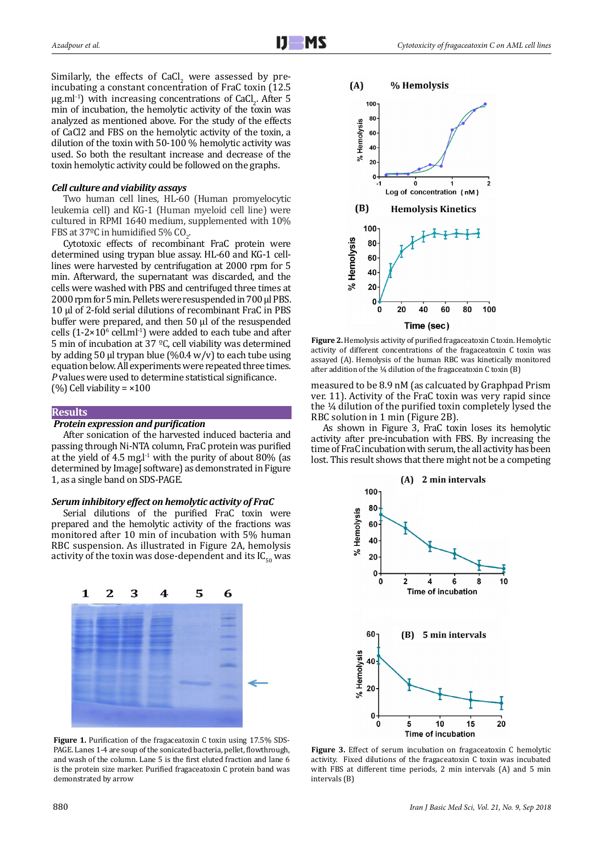Similarly, the effects of  $CaCl<sub>2</sub>$  were assessed by preincubating a constant concentration of FraC toxin (12.5  $\mu$ g.ml<sup>-1</sup>) with increasing concentrations of CaCl<sub>2</sub>. After 5 min of incubation, the hemolytic activity of the toxin was analyzed as mentioned above. For the study of the effects of CaCl2 and FBS on the hemolytic activity of the toxin, a dilution of the toxin with 50-100 % hemolytic activity was used. So both the resultant increase and decrease of the toxin hemolytic activity could be followed on the graphs.

# *Cell culture and viability assays*

Two human cell lines, HL-60 (Human promyelocytic leukemia cell) and KG-1 (Human myeloid cell line) were cultured in RPMI 1640 medium, supplemented with 10% FBS at  $37^{\circ}$ C in humidified 5% CO<sub>2</sub>.

Cytotoxic effects of recombinant FraC protein were determined using trypan blue assay. HL-60 and KG-1 celllines were harvested by centrifugation at 2000 rpm for 5 min. Afterward, the supernatant was discarded, and the cells were washed with PBS and centrifuged three times at 2000 rpm for 5 min. Pellets were resuspended in 700 µl PBS. 10 µl of 2-fold serial dilutions of recombinant FraC in PBS buffer were prepared, and then 50 µl of the resuspended cells  $(1-2\times10^{6}$  cell.ml<sup>-1</sup>) were added to each tube and after 5 min of incubation at 37 ºC, cell viability was determined by adding 50 µl trypan blue  $(\%0.4 \text{ w/v})$  to each tube using equation below. All experiments were repeated three times. *P* values were used to determine statistical significance. (%) Cell viability =  $\times 100$ 

### **Results**

#### *Protein expression and purification*

After sonication of the harvested induced bacteria and passing through Ni-NTA column, FraC protein was purified at the yield of 4.5 mg. $l<sup>-1</sup>$  with the purity of about 80% (as determined by ImageJ software) as demonstrated in Figure 1, as a single band on SDS-PAGE.

### *Serum inhibitory effect on hemolytic activity of FraC*

Serial dilutions of the purified FraC toxin were prepared and the hemolytic activity of the fractions was monitored after 10 min of incubation with 5% human RBC suspension. As illustrated in Figure 2A, hemolysis activity of the toxin was dose-dependent and its  $IC_{50}$  was



**Figure 1.** Purification of the fragaceatoxin C toxin using 17.5% SDS-PAGE. Lanes 1-4 are soup of the sonicated bacteria, pellet, flowthrough, and wash of the column. Lane 5 is the first eluted fraction and lane 6 is the protein size marker. Purified fragaceatoxin C protein band was demonstrated by arrow



**Figure 2.** Hemolysis activity of purified fragaceatoxin C toxin. Hemolytic activity of different concentrations of the fragaceatoxin C toxin was assayed (A). Hemolysis of the human RBC was kinetically monitored after addition of the  $\frac{1}{4}$  dilution of the fragaceatoxin C toxin (B)

measured to be 8.9 nM (as calcuated by Graphpad Prism ver. 11). Activity of the FraC toxin was very rapid since the ¼ dilution of the purified toxin completely lysed the RBC solution in 1 min (Figure 2B).

As shown in Figure 3, FraC toxin loses its hemolytic activity after pre-incubation with FBS. By increasing the time of FraC incubation with serum, the all activity has been lost. This result shows that there might not be a competing



**Figure 3.** Effect of serum incubation on fragaceatoxin C hemolytic activity. Fixed dilutions of the fragaceatoxin C toxin was incubated with FBS at different time periods, 2 min intervals (A) and 5 min intervals (B)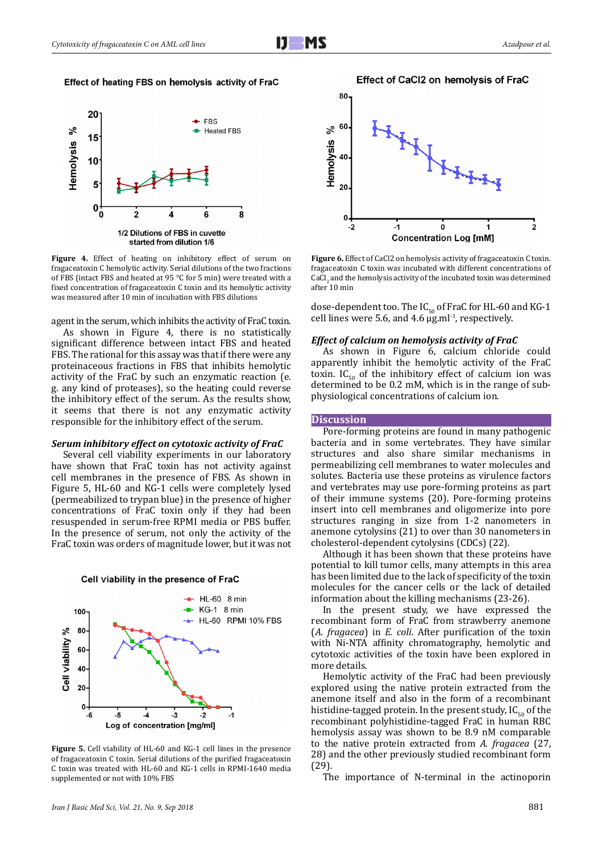# Effect of heating FBS on hemolysis activity of FraC



**Figure 4.** Effect of heating on inhibitory effect of serum on fragaceatoxin C hemolytic activity. Serial dilutions of the two fractions of FBS (intact FBS and heated at 95 °C for 5 min) were treated with a fixed concentration of fragaceatoxin C toxin and its hemolytic activity was measured after 10 min of incubation with FBS dilutions

agent in the serum, which inhibits the activity of FraC toxin.

As shown in Figure 4, there is no statistically significant difference between intact FBS and heated FBS. The rational for this assay was that if there were any proteinaceous fractions in FBS that inhibits hemolytic activity of the FraC by such an enzymatic reaction (e. g. any kind of proteases), so the heating could reverse the inhibitory effect of the serum. As the results show, it seems that there is not any enzymatic activity responsible for the inhibitory effect of the serum.

#### *Serum inhibitory effect on cytotoxic activity of FraC*

Several cell viability experiments in our laboratory have shown that FraC toxin has not activity against cell membranes in the presence of FBS. As shown in Figure 5, HL-60 and KG-1 cells were completely lysed (permeabilized to trypan blue) in the presence of higher concentrations of FraC toxin only if they had been resuspended in serum-free RPMI media or PBS buffer. In the presence of serum, not only the activity of the FraC toxin was orders of magnitude lower, but it was not





**Figure 5.** Cell viability of HL-60 and KG-1 cell lines in the presence of fragaceatoxin C toxin. Serial dilutions of the purified fragaceatoxin C toxin was treated with HL-60 and KG-1 cells in RPMI-1640 media supplemented or not with 10% FBS



**Figure 6.** Effect of CaCl2 on hemolysis activity of fragaceatoxin C toxin. fragaceatoxin C toxin was incubated with different concentrations of  $\operatorname{CaCl}_2$  and the hemolysis activity of the incubated toxin was determined after 10 min

dose-dependent too. The  $IC_{50}$  of FraC for HL-60 and KG-1 cell lines were 5.6, and 4.6  $\mu$ g.ml<sup>-1</sup>, respectively.

#### *Effect of calcium on hemolysis activity of FraC*

As shown in Figure 6, calcium chloride could apparently inhibit the hemolytic activity of the FraC toxin. IC<sub>50</sub> of the inhibitory effect of calcium ion was determined to be 0.2 mM, which is in the range of subphysiological concentrations of calcium ion.

# **Discussion**

Pore-forming proteins are found in many pathogenic bacteria and in some vertebrates. They have similar structures and also share similar mechanisms in permeabilizing cell membranes to water molecules and solutes. Bacteria use these proteins as virulence factors and vertebrates may use pore-forming proteins as part of their immune systems (20). Pore-forming proteins insert into cell membranes and oligomerize into pore structures ranging in size from 1-2 nanometers in anemone cytolysins (21) to over than 30 nanometers in cholesterol-dependent cytolysins (CDCs) (22).

Although it has been shown that these proteins have potential to kill tumor cells, many attempts in this area has been limited due to the lack of specificity of the toxin molecules for the cancer cells or the lack of detailed information about the killing mechanisms (23-26).

In the present study, we have expressed the recombinant form of FraC from strawberry anemone (*A. fragacea*) in *E. coli*. After purification of the toxin with Ni-NTA affinity chromatography, hemolytic and cytotoxic activities of the toxin have been explored in more details.

Hemolytic activity of the FraC had been previously explored using the native protein extracted from the anemone itself and also in the form of a recombinant histidine-tagged protein. In the present study,  $IC_{50}$  of the recombinant polyhistidine-tagged FraC in human RBC hemolysis assay was shown to be 8.9 nM comparable to the native protein extracted from *A. fragacea* (27, 28) and the other previously studied recombinant form (29).

The importance of N-terminal in the actinoporin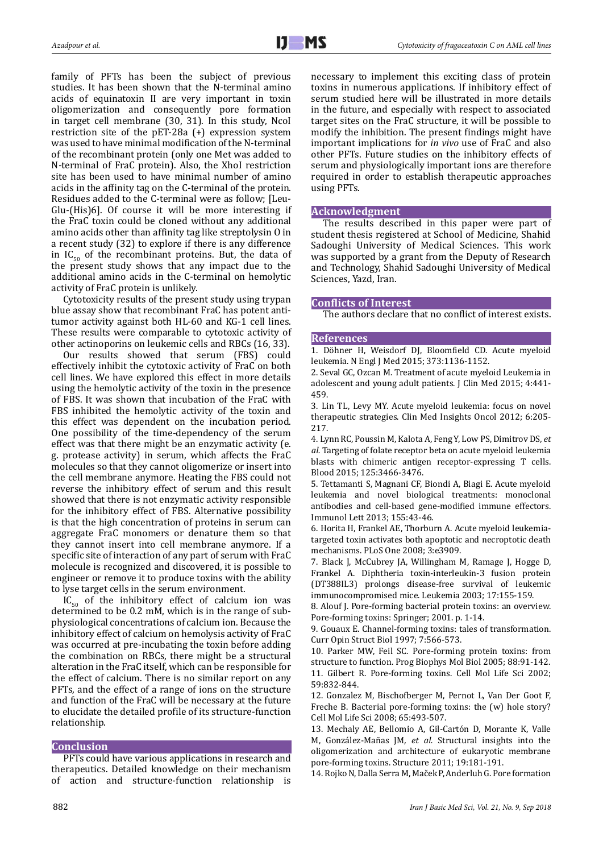family of PFTs has been the subject of previous studies. It has been shown that the N-terminal amino acids of equinatoxin II are very important in toxin oligomerization and consequently pore formation in target cell membrane (30, 31). In this study, NcoI restriction site of the pET-28a (+) expression system was used to have minimal modification of the N-terminal of the recombinant protein (only one Met was added to N-terminal of FraC protein). Also, the XhoI restriction site has been used to have minimal number of amino acids in the affinity tag on the C-terminal of the protein. Residues added to the C-terminal were as follow; [Leu-Glu-(His)6]. Of course it will be more interesting if the FraC toxin could be cloned without any additional amino acids other than affinity tag like streptolysin O in a recent study (32) to explore if there is any difference in  $IC_{50}$  of the recombinant proteins. But, the data of the present study shows that any impact due to the additional amino acids in the C-terminal on hemolytic activity of FraC protein is unlikely.

Cytotoxicity results of the present study using trypan blue assay show that recombinant FraC has potent antitumor activity against both HL-60 and KG-1 cell lines. These results were comparable to cytotoxic activity of other actinoporins on leukemic cells and RBCs (16, 33).

Our results showed that serum (FBS) could effectively inhibit the cytotoxic activity of FraC on both cell lines. We have explored this effect in more details using the hemolytic activity of the toxin in the presence of FBS. It was shown that incubation of the FraC with FBS inhibited the hemolytic activity of the toxin and this effect was dependent on the incubation period. One possibility of the time-dependency of the serum effect was that there might be an enzymatic activity (e. g. protease activity) in serum, which affects the FraC molecules so that they cannot oligomerize or insert into the cell membrane anymore. Heating the FBS could not reverse the inhibitory effect of serum and this result showed that there is not enzymatic activity responsible for the inhibitory effect of FBS. Alternative possibility is that the high concentration of proteins in serum can aggregate FraC monomers or denature them so that they cannot insert into cell membrane anymore. If a specific site of interaction of any part of serum with FraC molecule is recognized and discovered, it is possible to engineer or remove it to produce toxins with the ability to lyse target cells in the serum environment.

 $IC_{50}$  of the inhibitory effect of calcium ion was determined to be 0.2 mM, which is in the range of subphysiological concentrations of calcium ion. Because the inhibitory effect of calcium on hemolysis activity of FraC was occurred at pre-incubating the toxin before adding the combination on RBCs, there might be a structural alteration in the FraC itself, which can be responsible for the effect of calcium. There is no similar report on any PFTs, and the effect of a range of ions on the structure and function of the FraC will be necessary at the future to elucidate the detailed profile of its structure-function relationship.

# **Conclusion**

PFTs could have various applications in research and therapeutics. Detailed knowledge on their mechanism of action and structure-function relationship is necessary to implement this exciting class of protein toxins in numerous applications. If inhibitory effect of serum studied here will be illustrated in more details in the future, and especially with respect to associated target sites on the FraC structure, it will be possible to modify the inhibition. The present findings might have important implications for *in vivo* use of FraC and also other PFTs. Future studies on the inhibitory effects of serum and physiologically important ions are therefore required in order to establish therapeutic approaches using PFTs.

## **Acknowledgment**

The results described in this paper were part of student thesis registered at School of Medicine, Shahid Sadoughi University of Medical Sciences. This work was supported by a grant from the Deputy of Research and Technology, Shahid Sadoughi University of Medical Sciences, Yazd, Iran.

# **Conflicts of Interest**

The authors declare that no conflict of interest exists.

# **References**

1. Döhner H, Weisdorf DJ, Bloomfield CD. Acute myeloid leukemia. N Engl J Med 2015; 373:1136-1152.

2. Seval GC, Ozcan M. Treatment of acute myeloid Leukemia in adolescent and young adult patients. J Clin Med 2015; 4:441- 459.

3. Lin TL, Levy MY. Acute myeloid leukemia: focus on novel therapeutic strategies. Clin Med Insights Oncol 2012; 6:205- 217.

4. Lynn RC, Poussin M, Kalota A, Feng Y, Low PS, Dimitrov DS*, et al.* Targeting of folate receptor beta on acute myeloid leukemia blasts with chimeric antigen receptor-expressing T cells. Blood 2015; 125:3466-3476.

5. Tettamanti S, Magnani CF, Biondi A, Biagi E. Acute myeloid leukemia and novel biological treatments: monoclonal antibodies and cell-based gene-modified immune effectors. Immunol Lett 2013; 155:43-46.

6. Horita H, Frankel AE, Thorburn A. Acute myeloid leukemiatargeted toxin activates both apoptotic and necroptotic death mechanisms. PLoS One 2008; 3:e3909.

7. Black J, McCubrey JA, Willingham M, Ramage J, Hogge D, Frankel A. Diphtheria toxin-interleukin-3 fusion protein (DT388IL3) prolongs disease-free survival of leukemic immunocompromised mice. Leukemia 2003; 17:155-159.

8. Alouf J. Pore-forming bacterial protein toxins: an overview. Pore-forming toxins: Springer; 2001. p. 1-14.

9. Gouaux E. Channel-forming toxins: tales of transformation. Curr Opin Struct Biol 1997; 7:566-573.

10. Parker MW, Feil SC. Pore-forming protein toxins: from structure to function. Prog Biophys Mol Biol 2005; 88:91-142. 11. Gilbert R. Pore-forming toxins. Cell Mol Life Sci 2002; 59:832-844.

12. Gonzalez M, Bischofberger M, Pernot L, Van Der Goot F, Freche B. Bacterial pore-forming toxins: the (w) hole story? Cell Mol Life Sci 2008; 65:493-507.

13. Mechaly AE, Bellomio A, Gil-Cartón D, Morante K, Valle M, González-Mañas JM*, et al.* Structural insights into the oligomerization and architecture of eukaryotic membrane pore-forming toxins. Structure 2011; 19:181-191.

14. Rojko N, Dalla Serra M, Maček P, Anderluh G. Pore formation